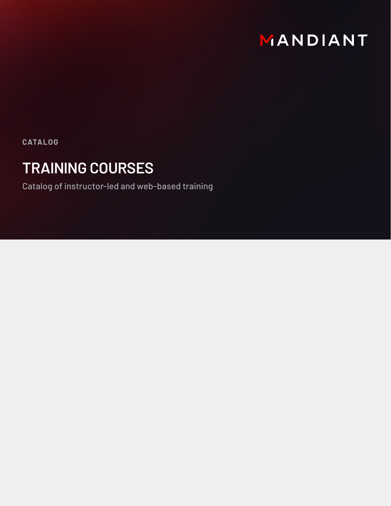

**CATALOG**

# **TRAINING COURSES**

Catalog of instructor-led and web-based training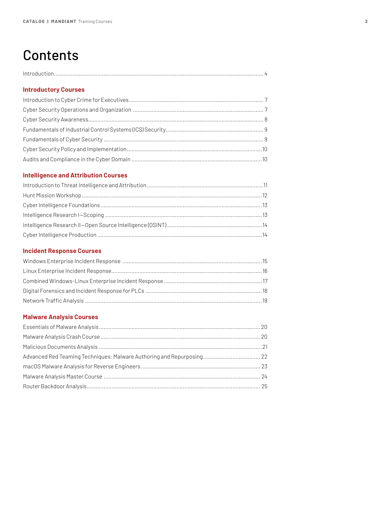# **Contents**

|--|

# **[Introductory Courses](#page-6-0)**

# **[Intelligence and Attribution Courses](#page-10-0)**

# **[Incident Response Courses](#page-14-0)**

# **[Malware Analysis Courses](#page-19-0)**

| Advanced Red Teaming Techniques: Malware Authoring and Repurposing 22 |  |
|-----------------------------------------------------------------------|--|
|                                                                       |  |
|                                                                       |  |
|                                                                       |  |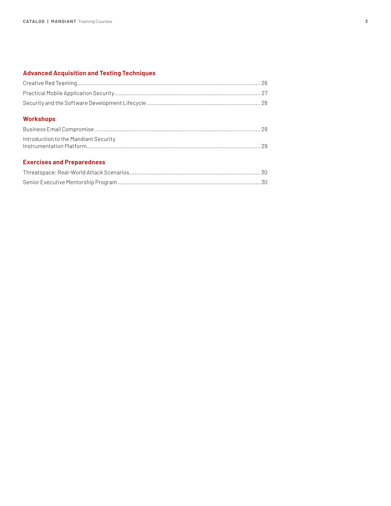# **[Advanced Acquisition and Testing Techniques](#page-25-0)**

# **[Workshops](#page-28-0)**

| Introduction to the Mandiant Security |  |
|---------------------------------------|--|
|                                       |  |

# **[Exercises and Preparedness](#page-29-0)**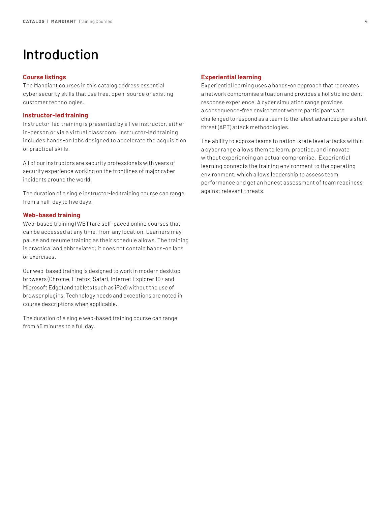# <span id="page-3-0"></span>Introduction

#### **Course listings**

The Mandiant courses in this catalog address essential cyber security skills that use free, open-source or existing customer technologies.

# **Instructor-led training**

Instructor-led training is presented by a live instructor, either in-person or via a virtual classroom. Instructor-led training includes hands-on labs designed to accelerate the acquisition of practical skills.

All of our instructors are security professionals with years of security experience working on the frontlines of major cyber incidents around the world.

The duration of a single instructor-led training course can range from a half-day to five days.

#### **Web-based training**

Web-based training (WBT) are self-paced online courses that can be accessed at any time, from any location. Learners may pause and resume training as their schedule allows. The training is practical and abbreviated; it does not contain hands-on labs or exercises.

Our web-based training is designed to work in modern desktop browsers (Chrome, Firefox, Safari, Internet Explorer 10+ and Microsoft Edge) and tablets (such as iPad) without the use of browser plugins. Technology needs and exceptions are noted in course descriptions when applicable.

The duration of a single web-based training course can range from 45 minutes to a full day.

# **Experiential learning**

Experiential learning uses a hands-on approach that recreates a network compromise situation and provides a holistic incident response experience. A cyber simulation range provides a consequence-free environment where participants are challenged to respond as a team to the latest advanced persistent threat (APT) attack methodologies.

The ability to expose teams to nation-state level attacks within a cyber range allows them to learn, practice, and innovate without experiencing an actual compromise. Experiential learning connects the training environment to the operating environment, which allows leadership to assess team performance and get an honest assessment of team readiness against relevant threats.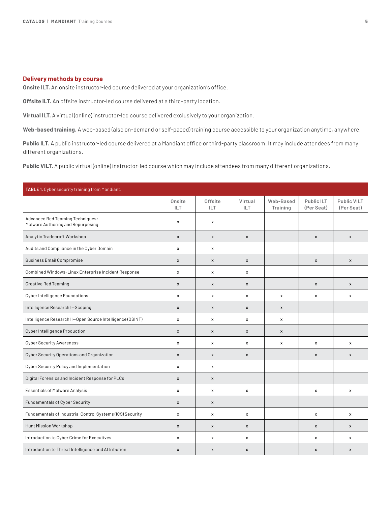# **Delivery methods by course**

**Onsite ILT.** An onsite instructor-led course delivered at your organization's office.

**Offsite ILT.** An offsite instructor-led course delivered at a third-party location.

**Virtual ILT.** A virtual (online) instructor-led course delivered exclusively to your organization.

**Web-based training.** A web-based (also on-demand or self-paced) training course accessible to your organization anytime, anywhere.

**Public ILT.** A public instructor-led course delivered at a Mandiant office or third-party classroom. It may include attendees from many different organizations.

**Public VILT.** A public virtual (online) instructor-led course which may include attendees from many different organizations.

| TABLE 1. Cyber security training from Mandiant.                       |                      |                       |                           |                       |                          |                           |  |
|-----------------------------------------------------------------------|----------------------|-----------------------|---------------------------|-----------------------|--------------------------|---------------------------|--|
|                                                                       | Onsite<br><b>ILT</b> | <b>Offsite</b><br>ILT | Virtual<br>ILT            | Web-Based<br>Training | Public ILT<br>(Per Seat) | Public VILT<br>(Per Seat) |  |
| Advanced Red Teaming Techniques:<br>Malware Authoring and Repurposing | x                    | x                     |                           |                       |                          |                           |  |
| Analytic Tradecraft Workshop                                          | $\mathsf{x}$         | $\pmb{\mathsf{x}}$    | $\boldsymbol{\mathsf{x}}$ |                       | $\mathsf{x}$             | $\mathsf{x}$              |  |
| Audits and Compliance in the Cyber Domain                             | X                    | x                     |                           |                       |                          |                           |  |
| <b>Business Email Compromise</b>                                      | $\mathsf{x}$         | $\pmb{\mathsf{x}}$    | $\pmb{\chi}$              |                       | $\pmb{\mathsf{x}}$       | $\pmb{\times}$            |  |
| Combined Windows-Linux Enterprise Incident Response                   | $\pmb{\mathsf{x}}$   | x                     | $\pmb{\mathsf{x}}$        |                       |                          |                           |  |
| <b>Creative Red Teaming</b>                                           | $\mathsf{x}$         | X                     | $\mathsf{x}$              |                       | $\mathsf{x}$             | $\mathsf{x}$              |  |
| Cyber Intelligence Foundations                                        | X                    | x                     | $\pmb{\mathsf{x}}$        | $\pmb{\chi}$          | x                        | X                         |  |
| Intelligence Research I-Scoping                                       | $\pmb{\mathsf{x}}$   | $\pmb{\mathsf{x}}$    | $\pmb{\chi}$              | $\pmb{\times}$        |                          |                           |  |
| Intelligence Research II-Open Source Intelligence (OSINT)             | X                    | x                     | $\pmb{\mathsf{x}}$        | $\pmb{\chi}$          |                          |                           |  |
| Cyber Intelligence Production                                         | $\pmb{\times}$       | $\pmb{\mathsf{x}}$    | $\pmb{\times}$            | $\pmb{\mathsf{x}}$    |                          |                           |  |
| <b>Cyber Security Awareness</b>                                       | $\mathsf{x}$         | X                     | $\pmb{\mathsf{x}}$        | $\pmb{\mathsf{x}}$    | $\pmb{\times}$           | $\pmb{\times}$            |  |
| Cyber Security Operations and Organization                            | X                    | X                     | $\pmb{\chi}$              |                       | X                        | X                         |  |
| Cyber Security Policy and Implementation                              | $\pmb{\chi}$         | x                     |                           |                       |                          |                           |  |
| Digital Forensics and Incident Response for PLCs                      | $\pmb{\mathsf{x}}$   | $\pmb{\mathsf{x}}$    |                           |                       |                          |                           |  |
| <b>Essentials of Malware Analysis</b>                                 | X                    | x                     | $\pmb{\mathsf{x}}$        |                       | $\pmb{\times}$           | X                         |  |
| Fundamentals of Cyber Security                                        | $\pmb{\mathsf{x}}$   | $\pmb{\mathsf{x}}$    |                           |                       |                          |                           |  |
| Fundamentals of Industrial Control Systems (ICS) Security             | $\pmb{\chi}$         | x                     | $\pmb{\mathsf{x}}$        |                       | x                        | x                         |  |
| Hunt Mission Workshop                                                 | $\pmb{\mathsf{x}}$   | $\pmb{\mathsf{x}}$    | $\pmb{\times}$            |                       | $\pmb{\mathsf{x}}$       | $\pmb{\mathsf{x}}$        |  |
| Introduction to Cyber Crime for Executives                            | $\pmb{\mathsf{x}}$   | x                     | $\pmb{\mathsf{x}}$        |                       | x                        | x                         |  |
| Introduction to Threat Intelligence and Attribution                   | $\pmb{\times}$       | $\pmb{\mathsf{x}}$    | $\pmb{\times}$            |                       | $\pmb{\mathsf{x}}$       | X                         |  |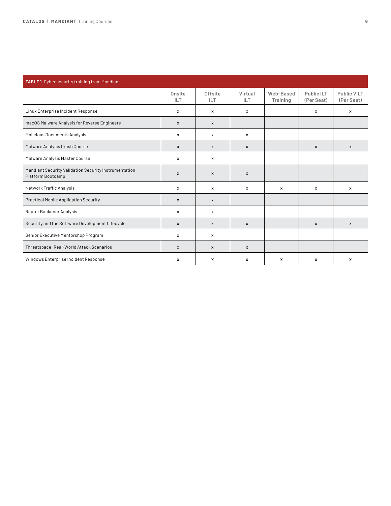| TABLE 1. Cyber security training from Mandiant.                            |                           |                           |                |                       |                                     |                           |  |
|----------------------------------------------------------------------------|---------------------------|---------------------------|----------------|-----------------------|-------------------------------------|---------------------------|--|
|                                                                            | Onsite<br>ILT             | Offsite<br><b>ILT</b>     | Virtual<br>ILT | Web-Based<br>Training | Public <sub>ILT</sub><br>(Per Seat) | Public VILT<br>(Per Seat) |  |
| Linux Enterprise Incident Response                                         | $\times$                  | $\mathsf{x}$              | $\mathsf{x}$   |                       | x                                   | x                         |  |
| macOS Malware Analysis for Reverse Engineers                               | $\mathsf{x}$              | X                         |                |                       |                                     |                           |  |
| Malicious Documents Analysis                                               | x                         | $\mathsf{x}$              | x              |                       |                                     |                           |  |
| Malware Analysis Crash Course                                              | $\mathsf{x}$              | $\mathsf{x}$              | $\mathsf{x}$   |                       | $\mathsf{x}$                        | $\mathsf{x}$              |  |
| Malware Analysis Master Course                                             | x                         | x                         |                |                       |                                     |                           |  |
| Mandiant Security Validation Security Instrumentation<br>Platform Bootcamp | $\boldsymbol{\mathsf{x}}$ | $\mathsf{x}$              | X              |                       |                                     |                           |  |
| Network Traffic Analysis                                                   | x                         | x                         | x              | x                     | x                                   | x                         |  |
| <b>Practical Mobile Application Security</b>                               | $\mathsf{x}$              | $\boldsymbol{\mathsf{x}}$ |                |                       |                                     |                           |  |
| Router Backdoor Analysis                                                   | x                         | x                         |                |                       |                                     |                           |  |
| Security and the Software Development Lifecycle                            | X                         | X                         | X              |                       | $\mathsf{x}$                        | $\mathsf{x}$              |  |
| Senior Executive Mentorshop Program                                        | x                         | x                         |                |                       |                                     |                           |  |
| Threatspace: Real-World Attack Scenarios                                   | $\boldsymbol{\mathsf{x}}$ | X                         | X              |                       |                                     |                           |  |
| Windows Enterprise Incident Response                                       | $\mathsf{x}$              | x                         | X              | x                     | x                                   | x                         |  |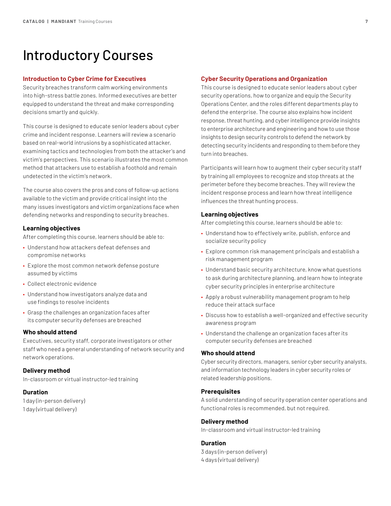# <span id="page-6-0"></span>Introductory Courses

#### **Introduction to Cyber Crime for Executives**

Security breaches transform calm working environments into high-stress battle zones. Informed executives are better equipped to understand the threat and make corresponding decisions smartly and quickly.

This course is designed to educate senior leaders about cyber crime and incident response. Learners will review a scenario based on real-world intrusions by a sophisticated attacker, examining tactics and technologies from both the attacker's and victim's perspectives. This scenario illustrates the most common method that attackers use to establish a foothold and remain undetected in the victim's network.

The course also covers the pros and cons of follow-up actions available to the victim and provide critical insight into the many issues investigators and victim organizations face when defending networks and responding to security breaches.

# **Learning objectives**

After completing this course, learners should be able to:

- Understand how attackers defeat defenses and compromise networks
- Explore the most common network defense posture assumed by victims
- Collect electronic evidence
- Understand how investigators analyze data and use findings to resolve incidents
- Grasp the challenges an organization faces after its computer security defenses are breached

#### **Who should attend**

Executives, security staff, corporate investigators or other staff who need a general understanding of network security and network operations.

#### **Delivery method**

In-classroom or virtual instructor-led training

#### **Duration**

1 day (in-person delivery) 1 day (virtual delivery)

#### **Cyber Security Operations and Organization**

This course is designed to educate senior leaders about cyber security operations, how to organize and equip the Security Operations Center, and the roles different departments play to defend the enterprise. The course also explains how incident response, threat hunting, and cyber intelligence provide insights to enterprise architecture and engineering and how to use those insights to design security controls to defend the network by detecting security incidents and responding to them before they turn into breaches.

Participants will learn how to augment their cyber security staff by training all employees to recognize and stop threats at the perimeter before they become breaches. They will review the incident response process and learn how threat intelligence influences the threat hunting process.

# **Learning objectives**

After completing this course, learners should be able to:

- Understand how to effectively write, publish, enforce and socialize security policy
- Explore common risk management principals and establish a risk management program
- Understand basic security architecture, know what questions to ask during architecture planning, and learn how to integrate cyber security principles in enterprise architecture
- Apply a robust vulnerability management program to help reduce their attack surface
- Discuss how to establish a well-organized and effective security awareness program
- Understand the challenge an organization faces after its computer security defenses are breached

## **Who should attend**

Cyber security directors, managers, senior cyber security analysts, and information technology leaders in cyber security roles or related leadership positions.

#### **Prerequisites**

A solid understanding of security operation center operations and functional roles is recommended, but not required.

# **Delivery method**

In-classroom and virtual instructor-led training

#### **Duration**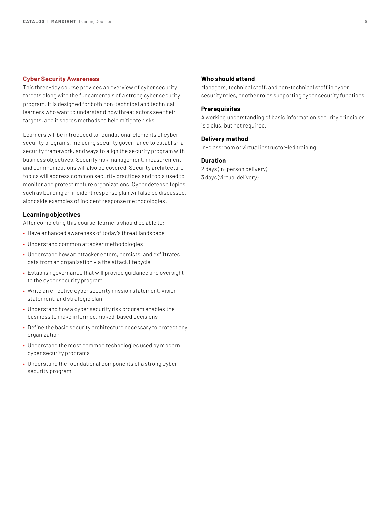#### <span id="page-7-0"></span>**Cyber Security Awareness**

This three-day course provides an overview of cyber security threats along with the fundamentals of a strong cyber security program. It is designed for both non-technical and technical learners who want to understand how threat actors see their targets, and it shares methods to help mitigate risks.

Learners will be introduced to foundational elements of cyber security programs, including security governance to establish a security framework, and ways to align the security program with business objectives. Security risk management, measurement and communications will also be covered. Security architecture topics will address common security practices and tools used to monitor and protect mature organizations. Cyber defense topics such as building an incident response plan will also be discussed, alongside examples of incident response methodologies.

# **Learning objectives**

After completing this course, learners should be able to:

- Have enhanced awareness of today's threat landscape
- Understand common attacker methodologies
- Understand how an attacker enters, persists, and exfiltrates data from an organization via the attack lifecycle
- Establish governance that will provide guidance and oversight to the cyber security program
- Write an effective cyber security mission statement, vision statement, and strategic plan
- Understand how a cyber security risk program enables the business to make informed, risked-based decisions
- Define the basic security architecture necessary to protect any organization
- Understand the most common technologies used by modern cyber security programs
- Understand the foundational components of a strong cyber security program

#### **Who should attend**

Managers, technical staff, and non-technical staff in cyber security roles, or other roles supporting cyber security functions.

#### **Prerequisites**

A working understanding of basic information security principles is a plus, but not required.

#### **Delivery method**

In-classroom or virtual instructor-led training

#### **Duration**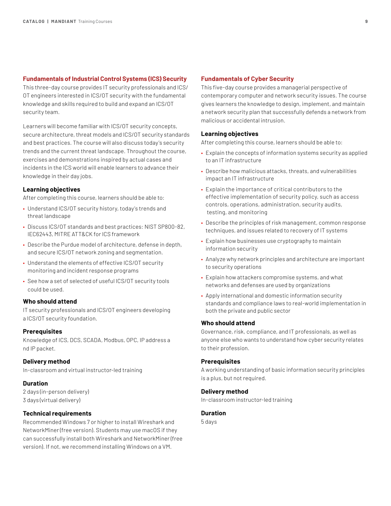#### <span id="page-8-0"></span>**Fundamentals of Industrial Control Systems (ICS) Security**

This three-day course provides IT security professionals and ICS/ OT engineers interested in ICS/OT security with the fundamental knowledge and skills required to build and expand an ICS/OT security team.

Learners will become familiar with ICS/OT security concepts, secure architecture, threat models and ICS/OT security standards and best practices. The course will also discuss today's security trends and the current threat landscape. Throughout the course, exercises and demonstrations inspired by actual cases and incidents in the ICS world will enable learners to advance their knowledge in their day jobs.

# **Learning objectives**

After completing this course, learners should be able to:

- Understand ICS/OT security history, today's trends and threat landscape
- Discuss ICS/OT standards and best practices: NIST SP800-82, IEC62443, MITRE ATT&CK for ICS framework
- Describe the Purdue model of architecture, defense in depth, and secure ICS/OT network zoning and segmentation.
- Understand the elements of effective ICS/OT security monitoring and incident response programs
- See how a set of selected of useful ICS/OT security tools could be used.

# **Who should attend**

IT security professionals and ICS/OT engineers developing a ICS/OT security foundation.

# **Prerequisites**

Knowledge of ICS, DCS, SCADA, Modbus, OPC, IP address a nd IP packet.

# **Delivery method**

In-classroom and virtual instructor-led training

# **Duration**

2 days (in-person delivery) 3 days (virtual delivery)

# **Technical requirements**

Recommended Windows 7 or higher to install Wireshark and NetworkMiner (free version). Students may use macOS if they can successfully install both Wireshark and NetworkMiner (free version). If not, we recommend installing Windows on a VM.

# **Fundamentals of Cyber Security**

This five-day course provides a managerial perspective of contemporary computer and network security issues. The course gives learners the knowledge to design, implement, and maintain a network security plan that successfully defends a network from malicious or accidental intrusion.

# **Learning objectives**

After completing this course, learners should be able to:

- Explain the concepts of information systems security as applied to an IT infrastructure
- Describe how malicious attacks, threats, and vulnerabilities impact an IT infrastructure
- Explain the importance of critical contributors to the effective implementation of security policy, such as access controls, operations, administration, security audits, testing, and monitoring
- Describe the principles of risk management, common response techniques, and issues related to recovery of IT systems
- Explain how businesses use cryptography to maintain information security
- Analyze why network principles and architecture are important to security operations
- Explain how attackers compromise systems, and what networks and defenses are used by organizations
- Apply international and domestic information security standards and compliance laws to real-world implementation in both the private and public sector

# **Who should attend**

Governance, risk, compliance, and IT professionals, as well as anyone else who wants to understand how cyber security relates to their profession.

# **Prerequisites**

A working understanding of basic information security principles is a plus, but not required.

#### **Delivery method**

In-classroom instructor-led training

# **Duration**

5 days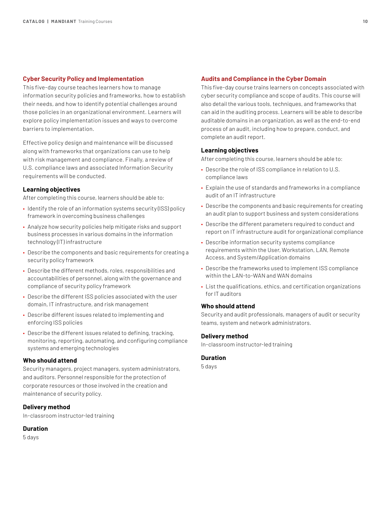# <span id="page-9-0"></span>**Cyber Security Policy and Implementation**

This five-day course teaches learners how to manage information security policies and frameworks, how to establish their needs, and how to identify potential challenges around those policies in an organizational environment. Learners will explore policy implementation issues and ways to overcome barriers to implementation.

Effective policy design and maintenance will be discussed along with frameworks that organizations can use to help with risk management and compliance. Finally, a review of U.S. compliance laws and associated Information Security requirements will be conducted.

# **Learning objectives**

After completing this course, learners should be able to:

- Identify the role of an information systems security (ISS) policy framework in overcoming business challenges
- Analyze how security policies help mitigate risks and support business processes in various domains in the information technology (IT) infrastructure
- Describe the components and basic requirements for creating a security policy framework
- Describe the different methods, roles, responsibilities and accountabilities of personnel, along with the governance and compliance of security policy framework
- Describe the different ISS policies associated with the user domain, IT infrastructure, and risk management
- Describe different issues related to implementing and enforcing ISS policies
- Describe the different issues related to defining, tracking, monitoring, reporting, automating, and configuring compliance systems and emerging technologies

### **Who should attend**

Security managers, project managers, system administrators, and auditors. Personnel responsible for the protection of corporate resources or those involved in the creation and maintenance of security policy.

# **Delivery method**

In-classroom instructor-led training

#### **Duration**

5 days

#### **Audits and Compliance in the Cyber Domain**

This five-day course trains learners on concepts associated with cyber security compliance and scope of audits. This course will also detail the various tools, techniques, and frameworks that can aid in the auditing process. Learners will be able to describe auditable domains in an organization, as well as the end-to-end process of an audit, including how to prepare, conduct, and complete an audit report.

# **Learning objectives**

After completing this course, learners should be able to:

- Describe the role of ISS compliance in relation to U.S. compliance laws
- Explain the use of standards and frameworks in a compliance audit of an IT infrastructure
- Describe the components and basic requirements for creating an audit plan to support business and system considerations
- Describe the different parameters required to conduct and report on IT infrastructure audit for organizational compliance
- Describe information security systems compliance requirements within the User, Workstation, LAN, Remote Access, and System/Application domains
- Describe the frameworks used to implement ISS compliance within the LAN-to-WAN and WAN domains
- List the qualifications, ethics, and certification organizations for IT auditors

# **Who should attend**

Security and audit professionals, managers of audit or security teams, system and network administrators.

### **Delivery method**

In-classroom instructor-led training

# **Duration**

5 days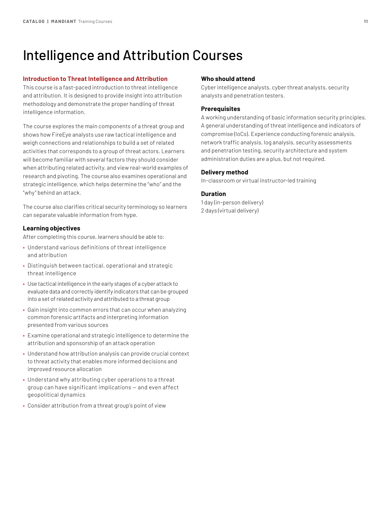# <span id="page-10-0"></span>Intelligence and Attribution Courses

### **Introduction to Threat Intelligence and Attribution**

This course is a fast-paced introduction to threat intelligence and attribution. It is designed to provide insight into attribution methodology and demonstrate the proper handling of threat intelligence information.

The course explores the main components of a threat group and shows how FireEye analysts use raw tactical intelligence and weigh connections and relationships to build a set of related activities that corresponds to a group of threat actors. Learners will become familiar with several factors they should consider when attributing related activity, and view real-world examples of research and pivoting. The course also examines operational and strategic intelligence, which helps determine the "who" and the "why" behind an attack.

The course also clarifies critical security terminology so learners can separate valuable information from hype.

# **Learning objectives**

After completing this course, learners should be able to:

- Understand various definitions of threat intelligence and attribution
- Distinguish between tactical, operational and strategic threat intelligence
- Use tactical intelligence in the early stages of a cyber attack to evaluate data and correctly identify indicators that can be grouped into a set of related activity and attributed to a threat group
- Gain insight into common errors that can occur when analyzing common forensic artifacts and interpreting information presented from various sources
- Examine operational and strategic intelligence to determine the attribution and sponsorship of an attack operation
- Understand how attribution analysis can provide crucial context to threat activity that enables more informed decisions and improved resource allocation
- Understand why attributing cyber operations to a threat group can have significant implications — and even affect geopolitical dynamics
- Consider attribution from a threat group's point of view

#### **Who should attend**

Cyber intelligence analysts, cyber threat analysts, security analysts and penetration testers.

#### **Prerequisites**

A working understanding of basic information security principles. A general understanding of threat intelligence and indicators of compromise (IoCs). Experience conducting forensic analysis, network traffic analysis, log analysis, security assessments and penetration testing, security architecture and system administration duties are a plus, but not required.

# **Delivery method**

In-classroom or virtual instructor-led training

### **Duration**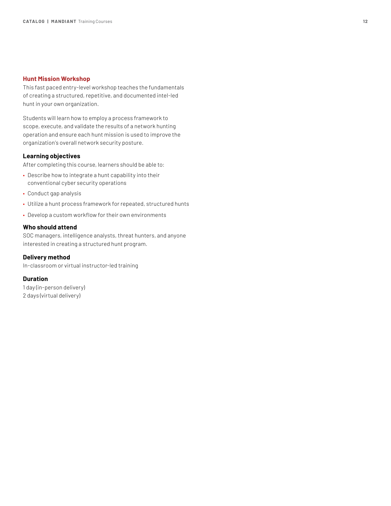## <span id="page-11-0"></span>**Hunt Mission Workshop**

This fast paced entry-level workshop teaches the fundamentals of creating a structured, repetitive, and documented intel-led hunt in your own organization.

Students will learn how to employ a process framework to scope, execute, and validate the results of a network hunting operation and ensure each hunt mission is used to improve the organization's overall network security posture.

# **Learning objectives**

After completing this course, learners should be able to:

- Describe how to integrate a hunt capability into their conventional cyber security operations
- Conduct gap analysis
- Utilize a hunt process framework for repeated, structured hunts
- Develop a custom workflow for their own environments

# **Who should attend**

SOC managers, intelligence analysts, threat hunters, and anyone interested in creating a structured hunt program.

# **Delivery method**

In-classroom or virtual instructor-led training

# **Duration**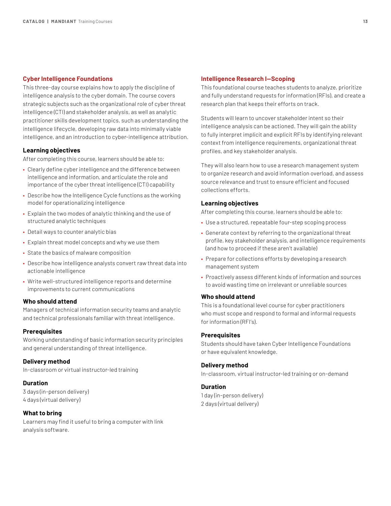#### <span id="page-12-0"></span>**Cyber Intelligence Foundations**

This three-day course explains how to apply the discipline of intelligence analysis to the cyber domain. The course covers strategic subjects such as the organizational role of cyber threat intelligence (CTI) and stakeholder analysis, as well as analytic practitioner skills development topics, such as understanding the intelligence lifecycle, developing raw data into minimally viable intelligence, and an introduction to cyber-intelligence attribution.

# **Learning objectives**

After completing this course, learners should be able to:

- Clearly define cyber intelligence and the difference between intelligence and information, and articulate the role and importance of the cyber threat intelligence (CTI) capability
- Describe how the Intelligence Cycle functions as the working model for operationalizing intelligence
- Explain the two modes of analytic thinking and the use of structured analytic techniques
- Detail ways to counter analytic bias
- Explain threat model concepts and why we use them
- State the basics of malware composition
- Describe how intelligence analysts convert raw threat data into actionable intelligence
- Write well-structured intelligence reports and determine improvements to current communications

#### **Who should attend**

Managers of technical information security teams and analytic and technical professionals familiar with threat intelligence.

## **Prerequisites**

Working understanding of basic information security principles and general understanding of threat intelligence.

# **Delivery method**

In-classroom or virtual instructor-led training

# **Duration**

3 days (in-person delivery) 4 days (virtual delivery)

#### **What to bring**

Learners may find it useful to bring a computer with link analysis software.

#### **Intelligence Research I—Scoping**

This foundational course teaches students to analyze, prioritize and fully understand requests for information (RFIs), and create a research plan that keeps their efforts on track.

Students will learn to uncover stakeholder intent so their intelligence analysis can be actioned. They will gain the ability to fully interpret implicit and explicit RFIs by identifying relevant context from intelligence requirements, organizational threat profiles, and key stakeholder analysis.

They will also learn how to use a research management system to organize research and avoid information overload, and assess source relevance and trust to ensure efficient and focused collections efforts.

## **Learning objectives**

After completing this course, learners should be able to:

- Use a structured, repeatable four-step scoping process
- Generate context by referring to the organizational threat profile, key stakeholder analysis, and intelligence requirements (and how to proceed if these aren't available)
- Prepare for collections efforts by developing a research management system
- Proactively assess different kinds of information and sources to avoid wasting time on irrelevant or unreliable sources

#### **Who should attend**

This is a foundational level course for cyber practitioners who must scope and respond to formal and informal requests for information (RFI's).

#### **Prerequisites**

Students should have taken Cyber Intelligence Foundations or have equivalent knowledge.

# **Delivery method**

In-classroom, virtual instructor-led training or on-demand

#### **Duration**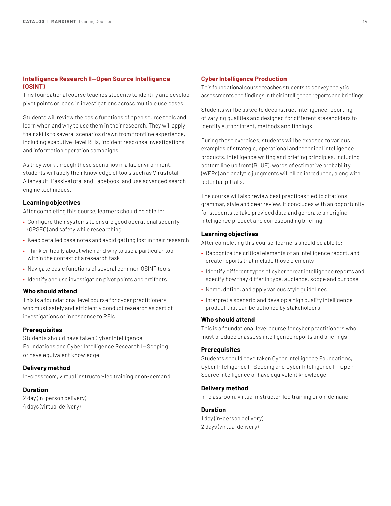# <span id="page-13-0"></span>**Intelligence Research II—Open Source Intelligence (OSINT)**

This foundational course teaches students to identify and develop pivot points or leads in investigations across multiple use cases.

Students will review the basic functions of open source tools and learn when and why to use them in their research. They will apply their skills to several scenarios drawn from frontline experience, including executive-level RFIs, incident response investigations and information operation campaigns.

As they work through these scenarios in a lab environment, students will apply their knowledge of tools such as VirusTotal, Alienvault, PassiveTotal and Facebook, and use advanced search engine techniques.

#### **Learning objectives**

After completing this course, learners should be able to:

- Configure their systems to ensure good operational security (OPSEC) and safety while researching
- Keep detailed case notes and avoid getting lost in their research
- Think critically about when and why to use a particular tool within the context of a research task
- Navigate basic functions of several common OSINT tools
- Identify and use investigation pivot points and artifacts

### **Who should attend**

This is a foundational level course for cyber practitioners who must safely and efficiently conduct research as part of investigations or in response to RFIs.

## **Prerequisites**

Students should have taken Cyber Intelligence Foundations and Cyber Intelligence Research I—Scoping or have equivalent knowledge.

# **Delivery method**

In-classroom, virtual instructor-led training or on-demand

# **Duration**

2 day (in-person delivery) 4 days (virtual delivery)

#### **Cyber Intelligence Production**

This foundational course teaches students to convey analytic assessments and findings in their intelligence reports and briefings.

Students will be asked to deconstruct intelligence reporting of varying qualities and designed for different stakeholders to identify author intent, methods and findings.

During these exercises, students will be exposed to various examples of strategic, operational and technical intelligence products. Intelligence writing and briefing principles, including bottom line up front (BLUF), words of estimative probability (WEPs) and analytic judgments will all be introduced, along with potential pitfalls.

The course will also review best practices tied to citations, grammar, style and peer review. It concludes with an opportunity for students to take provided data and generate an original intelligence product and corresponding briefing.

#### **Learning objectives**

After completing this course, learners should be able to:

- Recognize the critical elements of an intelligence report, and create reports that include those elements
- Identify different types of cyber threat intelligence reports and specify how they differ in type, audience, scope and purpose
- Name, define, and apply various style guidelines
- Interpret a scenario and develop a high quality intelligence product that can be actioned by stakeholders

#### **Who should attend**

This is a foundational level course for cyber practitioners who must produce or assess intelligence reports and briefings.

#### **Prerequisites**

Students should have taken Cyber Intelligence Foundations, Cyber Intelligence I—Scoping and Cyber Intelligence II—Open Source Intelligence or have equivalent knowledge.

#### **Delivery method**

In-classroom, virtual instructor-led training or on-demand

## **Duration**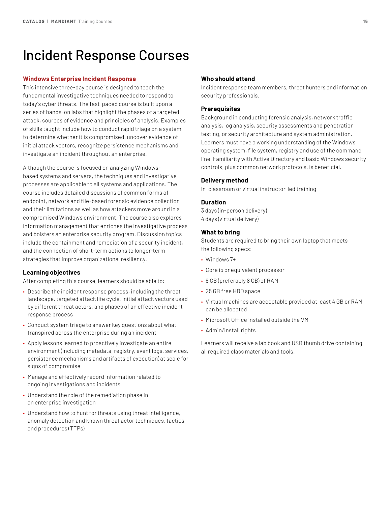# <span id="page-14-0"></span>Incident Response Courses

#### **Windows Enterprise Incident Response**

This intensive three-day course is designed to teach the fundamental investigative techniques needed to respond to today's cyber threats. The fast-paced course is built upon a series of hands-on labs that highlight the phases of a targeted attack, sources of evidence and principles of analysis. Examples of skills taught include how to conduct rapid triage on a system to determine whether it is compromised, uncover evidence of initial attack vectors, recognize persistence mechanisms and investigate an incident throughout an enterprise.

Although the course is focused on analyzing Windowsbased systems and servers, the techniques and investigative processes are applicable to all systems and applications. The course includes detailed discussions of common forms of endpoint, network and file-based forensic evidence collection and their limitations as well as how attackers move around in a compromised Windows environment. The course also explores information management that enriches the investigative process and bolsters an enterprise security program. Discussion topics include the containment and remediation of a security incident, and the connection of short-term actions to longer-term strategies that improve organizational resiliency.

#### **Learning objectives**

After completing this course, learners should be able to:

- Describe the incident response process, including the threat landscape, targeted attack life cycle, initial attack vectors used by different threat actors, and phases of an effective incident response process
- Conduct system triage to answer key questions about what transpired across the enterprise during an incident
- Apply lessons learned to proactively investigate an entire environment (including metadata, registry, event logs, services, persistence mechanisms and artifacts of execution) at scale for signs of compromise
- Manage and effectively record information related to ongoing investigations and incidents
- Understand the role of the remediation phase in an enterprise investigation
- Understand how to hunt for threats using threat intelligence, anomaly detection and known threat actor techniques, tactics and procedures (TTPs)

#### **Who should attend**

Incident response team members, threat hunters and information security professionals.

#### **Prerequisites**

Background in conducting forensic analysis, network traffic analysis, log analysis, security assessments and penetration testing, or security architecture and system administration. Learners must have a working understanding of the Windows operating system, file system, registry and use of the command line. Familiarity with Active Directory and basic Windows security controls, plus common network protocols, is beneficial.

#### **Delivery method**

In-classroom or virtual instructor-led training

#### **Duration**

3 days (in-person delivery) 4 days (virtual delivery)

# **What to bring**

Students are required to bring their own laptop that meets the following specs:

- Windows 7+
- Core i5 or equivalent processor
- 6 GB (preferably 8 GB) of RAM
- 25 GB free HDD space
- Virtual machines are acceptable provided at least 4 GB or RAM can be allocated
- Microsoft Office installed outside the VM
- Admin/install rights

Learners will receive a lab book and USB thumb drive containing all required class materials and tools.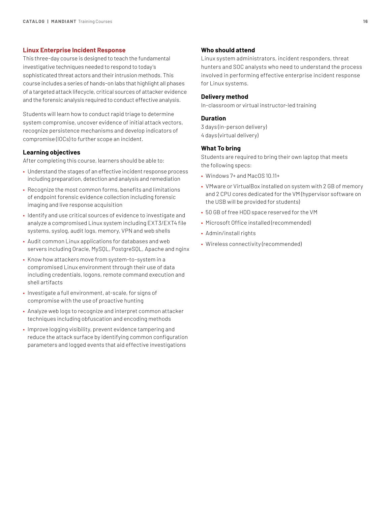#### <span id="page-15-0"></span>**Linux Enterprise Incident Response**

This three-day course is designed to teach the fundamental investigative techniques needed to respond to today's sophisticated threat actors and their intrusion methods. This course includes a series of hands-on labs that highlight all phases of a targeted attack lifecycle, critical sources of attacker evidence and the forensic analysis required to conduct effective analysis.

Students will learn how to conduct rapid triage to determine system compromise, uncover evidence of initial attack vectors, recognize persistence mechanisms and develop indicators of compromise (IOCs) to further scope an incident.

#### **Learning objectives**

After completing this course, learners should be able to:

- Understand the stages of an effective incident response process including preparation, detection and analysis and remediation
- Recognize the most common forms, benefits and limitations of endpoint forensic evidence collection including forensic imaging and live response acquisition
- Identify and use critical sources of evidence to investigate and analyze a compromised Linux system including EXT3/EXT4 file systems, syslog, audit logs, memory, VPN and web shells
- Audit common Linux applications for databases and web servers including Oracle, MySQL, PostgreSQL, Apache and nginx
- Know how attackers move from system-to-system in a compromised Linux environment through their use of data including credentials, logons, remote command execution and shell artifacts
- Investigate a full environment, at-scale, for signs of compromise with the use of proactive hunting
- Analyze web logs to recognize and interpret common attacker techniques including obfuscation and encoding methods
- Improve logging visibility, prevent evidence tampering and reduce the attack surface by identifying common configuration parameters and logged events that aid effective investigations

# **Who should attend**

Linux system administrators, incident responders, threat hunters and SOC analysts who need to understand the process involved in performing effective enterprise incident response for Linux systems.

#### **Delivery method**

In-classroom or virtual instructor-led training

### **Duration**

3 days (in-person delivery) 4 days (virtual delivery)

# **What To bring**

- Windows 7+ and MacOS 10.11+
- VMware or VirtualBox installed on system with 2 GB of memory and 2 CPU cores dedicated for the VM (hypervisor software on the USB will be provided for students)
- 50 GB of free HDD space reserved for the VM
- Microsoft Office installed (recommended)
- Admin/install rights
- Wireless connectivity (recommended)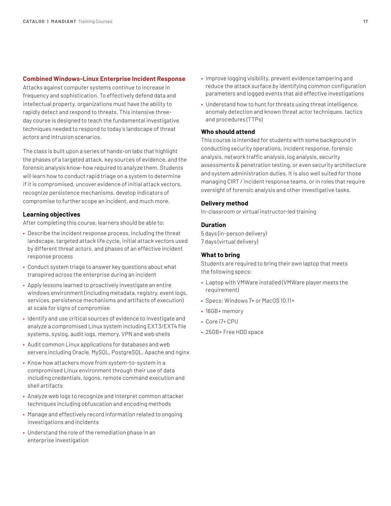#### <span id="page-16-0"></span>**Combined Windows-Linux Enterprise Incident Response**

Attacks against computer systems continue to increase in frequency and sophistication. To effectively defend data and intellectual property, organizations must have the ability to rapidly detect and respond to threats. This intensive threeday course is designed to teach the fundamental investigative techniques needed to respond to today's landscape of threat actors and intrusion scenarios.

The class is built upon a series of hands-on labs that highlight the phases of a targeted attack, key sources of evidence, and the forensic analysis know-how required to analyze them. Students will learn how to conduct rapid triage on a system to determine if it is compromised, uncover evidence of initial attack vectors, recognize persistence mechanisms, develop indicators of compromise to further scope an incident, and much more.

# **Learning objectives**

After completing this course, learners should be able to:

- Describe the incident response process, including the threat landscape, targeted attack life cycle, initial attack vectors used by different threat actors, and phases of an effective incident response process
- Conduct system triage to answer key questions about what transpired across the enterprise during an incident
- Apply lessons learned to proactively investigate an entire windows environment (including metadata, registry, event logs, services, persistence mechanisms and artifacts of execution) at scale for signs of compromise
- Identify and use critical sources of evidence to investigate and analyze a compromised Linux system including EXT3/EXT4 file systems, syslog, audit logs, memory, VPN and web shells
- Audit common Linux applications for databases and web servers including Oracle, MySQL, PostgreSQL, Apache and nginx
- Know how attackers move from system-to-system in a compromised Linux environment through their use of data including credentials, logons, remote command execution and shell artifacts
- Analyze web logs to recognize and interpret common attacker techniques including obfuscation and encoding methods
- Manage and effectively record information related to ongoing investigations and incidents
- Understand the role of the remediation phase in an enterprise investigation
- Improve logging visibility, prevent evidence tampering and reduce the attack surface by identifying common configuration parameters and logged events that aid effective investigations
- Understand how to hunt for threats using threat intelligence, anomaly detection and known threat actor techniques, tactics and procedures (TTPs)

## **Who should attend**

This course is intended for students with some background in conducting security operations, incident response, forensic analysis, network traffic analysis, log analysis, security assessments & penetration testing, or even security architecture and system administration duties. It is also well suited for those managing CIRT / incident response teams, or in roles that require oversight of forensic analysis and other investigative tasks.

## **Delivery method**

In-classroom or virtual instructor-led training

## **Duration**

5 days (in-person delivery) 7 days (virtual delivery)

# **What to bring**

- Laptop with VMWare installed (VMWare player meets the requirement)
- Specs: Windows 7+ or MacOS 10.11+
- 16GB+ memory
- Core i7+ CPU
- 25GB+ Free HDD space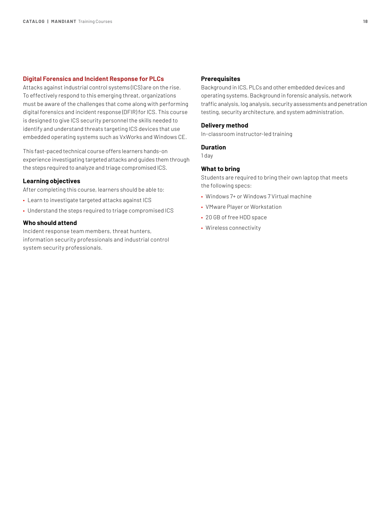# <span id="page-17-0"></span>**Digital Forensics and Incident Response for PLCs**

Attacks against industrial control systems (ICS) are on the rise. To effectively respond to this emerging threat, organizations must be aware of the challenges that come along with performing digital forensics and incident response (DFIR) for ICS. This course is designed to give ICS security personnel the skills needed to identify and understand threats targeting ICS devices that use embedded operating systems such as VxWorks and Windows CE.

This fast-paced technical course offers learners hands-on experience investigating targeted attacks and guides them through the steps required to analyze and triage compromised ICS.

# **Learning objectives**

After completing this course, learners should be able to:

- Learn to investigate targeted attacks against ICS
- Understand the steps required to triage compromised ICS

## **Who should attend**

Incident response team members, threat hunters, information security professionals and industrial control system security professionals.

#### **Prerequisites**

Background in ICS, PLCs and other embedded devices and operating systems. Background in forensic analysis, network traffic analysis, log analysis, security assessments and penetration testing, security architecture, and system administration.

#### **Delivery method**

In-classroom instructor-led training

#### **Duration**

1 day

# **What to bring**

- Windows 7+ or Windows 7 Virtual machine
- VMware Player or Workstation
- 20 GB of free HDD space
- Wireless connectivity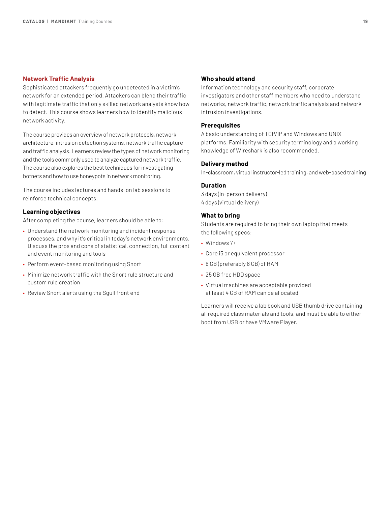#### <span id="page-18-0"></span>**Network Traffic Analysis**

Sophisticated attackers frequently go undetected in a victim's network for an extended period. Attackers can blend their traffic with legitimate traffic that only skilled network analysts know how to detect. This course shows learners how to identify malicious network activity.

The course provides an overview of network protocols, network architecture, intrusion detection systems, network traffic capture and traffic analysis. Learners review the types of network monitoring and the tools commonly used to analyze captured network traffic. The course also explores the best techniques for investigating botnets and how to use honeypots in network monitoring.

The course includes lectures and hands-on lab sessions to reinforce technical concepts.

## **Learning objectives**

After completing the course, learners should be able to:

- Understand the network monitoring and incident response processes, and why it's critical in today's network environments. Discuss the pros and cons of statistical, connection, full content and event monitoring and tools
- Perform event-based monitoring using Snort
- Minimize network traffic with the Snort rule structure and custom rule creation
- Review Snort alerts using the Sguil front end

## **Who should attend**

Information technology and security staff, corporate investigators and other staff members who need to understand networks, network traffic, network traffic analysis and network intrusion investigations.

# **Prerequisites**

A basic understanding of TCP/IP and Windows and UNIX platforms. Familiarity with security terminology and a working knowledge of Wireshark is also recommended.

#### **Delivery method**

In-classroom, virtual instructor-led training, and web-based training

## **Duration**

3 days (in-person delivery) 4 days (virtual delivery)

#### **What to bring**

Students are required to bring their own laptop that meets the following specs:

- Windows 7+
- Core i5 or equivalent processor
- 6 GB (preferably 8 GB) of RAM
- 25 GB free HDD space
- Virtual machines are acceptable provided at least 4 GB of RAM can be allocated

Learners will receive a lab book and USB thumb drive containing all required class materials and tools, and must be able to either boot from USB or have VMware Player.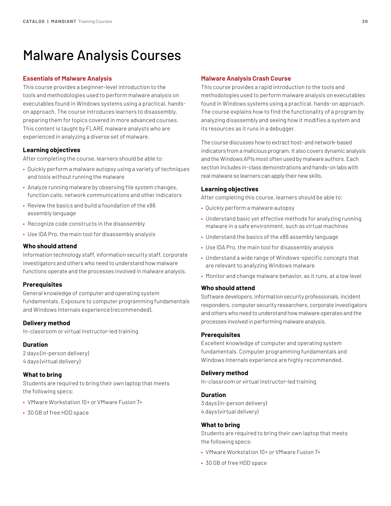# <span id="page-19-0"></span>Malware Analysis Courses

### **Essentials of Malware Analysis**

This course provides a beginner-level introduction to the tools and methodologies used to perform malware analysis on executables found in Windows systems using a practical, handson approach. The course introduces learners to disassembly, preparing them for topics covered in more advanced courses. This content is taught by FLARE malware analysts who are experienced in analyzing a diverse set of malware.

#### **Learning objectives**

After completing the course, learners should be able to:

- Quickly perform a malware autopsy using a variety of techniques and tools without running the malware
- Analyze running malware by observing file system changes, function calls, network communications and other indicators
- Review the basics and build a foundation of the x86 assembly language
- Recognize code constructs in the disassembly
- Use IDA Pro, the main tool for disassembly analysis

#### **Who should attend**

Information technology staff, information security staff, corporate investigators and others who need to understand how malware functions operate and the processes involved in malware analysis.

# **Prerequisites**

General knowledge of computer and operating system fundamentals. Exposure to computer programming fundamentals and Windows Internals experience (recommended).

#### **Delivery method**

In-classroom or virtual instructor-led training

#### **Duration**

2 days (in-person delivery) 4 days (virtual delivery)

#### **What to bring**

Students are required to bring their own laptop that meets the following specs:

- VMware Workstation 10+ or VMware Fusion 7+
- 30 GB of free HDD space

#### **Malware Analysis Crash Course**

This course provides a rapid introduction to the tools and methodologies used to perform malware analysis on executables found in Windows systems using a practical, hands-on approach. The course explains how to find the functionality of a program by analyzing disassembly and seeing how it modifies a system and its resources as it runs in a debugger.

The course discusses how to extract host- and network-based indicators from a malicious program. It also covers dynamic analysis and the Windows APIs most often used by malware authors. Each section includes in-class demonstrations and hands-on labs with real malware so learners can apply their new skills.

## **Learning objectives**

After completing this course, learners should be able to:

- Quickly perform a malware autopsy
- Understand basic yet effective methods for analyzing running malware in a safe environment, such as virtual machines
- Understand the basics of the x86 assembly language
- Use IDA Pro, the main tool for disassembly analysis
- Understand a wide range of Windows-specific concepts that are relevant to analyzing Windows malware
- Monitor and change malware behavior, as it runs, at a low level

### **Who should attend**

Software developers, information security professionals, incident responders, computer security researchers, corporate investigators and others who need to understand how malware operates and the processes involved in performing malware analysis.

#### **Prerequisites**

Excellent knowledge of computer and operating system fundamentals. Computer programming fundamentals and Windows Internals experience are highly recommended.

# **Delivery method**

In-classroom or virtual instructor-led training

## **Duration**

3 days (in-person delivery) 4 days (virtual delivery)

#### **What to bring**

- VMware Workstation 10+ or VMware Fusion 7+
- 30 GB of free HDD space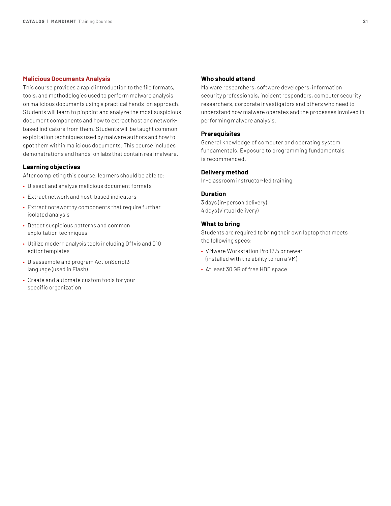## <span id="page-20-0"></span>**Malicious Documents Analysis**

This course provides a rapid introduction to the file formats, tools, and methodologies used to perform malware analysis on malicious documents using a practical hands-on approach. Students will learn to pinpoint and analyze the most suspicious document components and how to extract host and networkbased indicators from them. Students will be taught common exploitation techniques used by malware authors and how to spot them within malicious documents. This course includes demonstrations and hands-on labs that contain real malware.

#### **Learning objectives**

After completing this course, learners should be able to:

- Dissect and analyze malicious document formats
- Extract network and host-based indicators
- Extract noteworthy components that require further isolated analysis
- Detect suspicious patterns and common exploitation techniques
- Utilize modern analysis tools including Offvis and 010 editor templates
- Disassemble and program ActionScript3 language (used in Flash)
- Create and automate custom tools for your specific organization

#### **Who should attend**

Malware researchers, software developers, information security professionals, incident responders, computer security researchers, corporate investigators and others who need to understand how malware operates and the processes involved in performing malware analysis.

## **Prerequisites**

General knowledge of computer and operating system fundamentals. Exposure to programming fundamentals is recommended.

# **Delivery method**

In-classroom instructor-led training

#### **Duration**

3 days (in-person delivery) 4 days (virtual delivery)

#### **What to bring**

- VMware Workstation Pro 12.5 or newer (installed with the ability to run a VM)
- At least 30 GB of free HDD space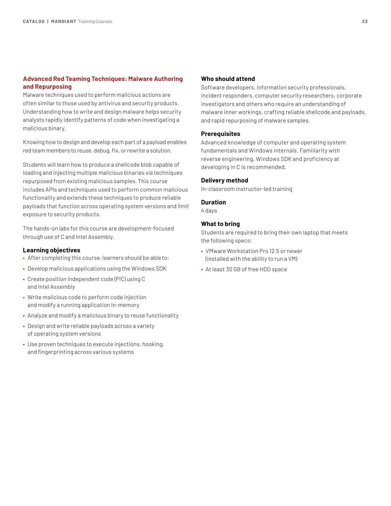# <span id="page-21-0"></span>**Advanced Red Teaming Techniques: Malware Authoring and Repurposing**

Malware techniques used to perform malicious actions are often similar to those used by antivirus and security products. Understanding how to write and design malware helps security analysts rapidly identify patterns of code when investigating a malicious binary.

Knowing how to design and develop each part of a payload enables red team members to reuse, debug, fix, or rewrite a solution.

Students will learn how to produce a shellcode blob capable of loading and injecting multiple malicious binaries via techniques repurposed from existing malicious samples. This course includes APIs and techniques used to perform common malicious functionality and extends these techniques to produce reliable payloads that function across operating system versions and limit exposure to security products.

The hands-on labs for this course are development-focused through use of C and Intel Assembly.

# **Learning objectives**

- After completing this course, learners should be able to:
- Develop malicious applications using the Windows SDK
- Create position independent code (PIC) using C and Intel Assembly
- Write malicious code to perform code injection and modify a running application in-memory
- Analyze and modify a malicious binary to reuse functionality
- Design and write reliable payloads across a variety of operating system versions
- Use proven techniques to execute injections, hooking, and fingerprinting across various systems

## **Who should attend**

Software developers, information security professionals, incident responders, computer security researchers, corporate investigators and others who require an understanding of malware inner workings, crafting reliable shellcode and payloads, and rapid repurposing of malware samples.

# **Prerequisites**

Advanced knowledge of computer and operating system fundamentals and Windows internals. Familiarity with reverse engineering, Windows SDK and proficiency at developing in C is recommended.

#### **Delivery method**

In-classroom instructor-led training

#### **Duration**

4 days

# **What to bring**

- VMware Workstation Pro 12.5 or newer (installed with the ability to run a VM)
- At least 30 GB of free HDD space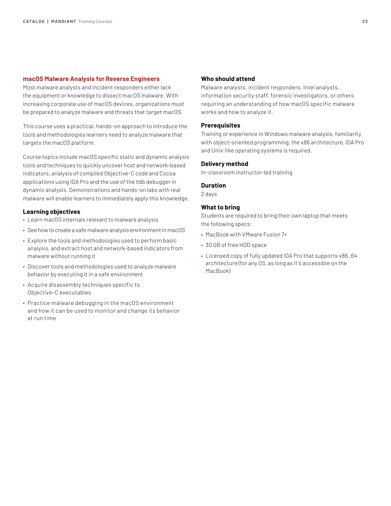#### <span id="page-22-0"></span>**macOS Malware Analysis for Reverse Engineers**

Most malware analysts and incident responders either lack the equipment or knowledge to dissect macOS malware. With increasing corporate use of macOS devices, organizations must be prepared to analyze malware and threats that target macOS.

This course uses a practical, hands-on approach to introduce the tools and methodologies learners need to analyze malware that targets the macOS platform.

Course topics include macOS specific static and dynamic analysis tools and techniques to quickly uncover host and network-based indicators, analysis of compiled Objective-C code and Cocoa applications using IDA Pro and the use of the lldb debugger in dynamic analysis. Demonstrations and hands-on labs with real malware will enable learners to immediately apply this knowledge.

#### **Learning objectives**

- Learn macOS internals relevant to malware analysis
- See how to create a safe malware analysis environment in macOS
- Explore the tools and methodologies used to perform basic analysis, and extract host and network-based indicators from malware without running it
- Discover tools and methodologies used to analyze malware behavior by executing it in a safe environment
- Acquire disassembly techniques specific to Objective-C executables
- Practice malware debugging in the macOS environment and how it can be used to monitor and change its behavior at run time

### **Who should attend**

Malware analysts, incident responders, Intel analysts, information security staff, forensic investigators, or others requiring an understanding of how macOS specific malware works and how to analyze it.

# **Prerequisites**

Training or experience in Windows malware analysis, familiarity with object-oriented programming, the x86 architecture, IDA Pro and Unix-like operating systems is required.

#### **Delivery method**

In-classroom instructor-led training

# **Duration**

2 days

#### **What to bring**

- MacBook with VMware Fusion 7+
- 30 GB of free HDD space
- Licensed copy of fully updated IDA Pro that supports x86\_64 architecture (for any OS, as long as it's accessible on the MacBook)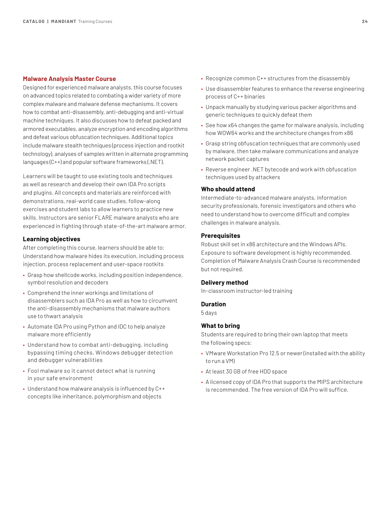#### <span id="page-23-0"></span>**Malware Analysis Master Course**

Designed for experienced malware analysts, this course focuses on advanced topics related to combating a wider variety of more complex malware and malware defense mechanisms. It covers how to combat anti-disassembly, anti-debugging and anti-virtual machine techniques. It also discusses how to defeat packed and armored executables, analyze encryption and encoding algorithms and defeat various obfuscation techniques. Additional topics include malware stealth techniques (process injection and rootkit technology), analyses of samples written in alternate programming languages (C++) and popular software frameworks (.NET).

Learners will be taught to use existing tools and techniques as well as research and develop their own IDA Pro scripts and plugins. All concepts and materials are reinforced with demonstrations, real-world case studies, follow-along exercises and student labs to allow learners to practice new skills. Instructors are senior FLARE malware analysts who are experienced in fighting through state-of-the-art malware armor.

#### **Learning objectives**

After completing this course, learners should be able to: Understand how malware hides its execution, including process injection, process replacement and user-space rootkits

- Grasp how shellcode works, including position independence, symbol resolution and decoders
- Comprehend the inner workings and limitations of disassemblers such as IDA Pro as well as how to circumvent the anti-disassembly mechanisms that malware authors use to thwart analysis
- Automate IDA Pro using Python and IDC to help analyze malware more efficiently
- Understand how to combat anti-debugging, including bypassing timing checks, Windows debugger detection and debugger vulnerabilities
- Fool malware so it cannot detect what is running in your safe environment
- Understand how malware analysis is influenced by C++ concepts like inheritance, polymorphism and objects
- Recognize common C++ structures from the disassembly
- Use disassembler features to enhance the reverse engineering process of C++ binaries
- Unpack manually by studying various packer algorithms and generic techniques to quickly defeat them
- See how x64 changes the game for malware analysis, including how WOW64 works and the architecture changes from x86
- Grasp string obfuscation techniques that are commonly used by malware, then take malware communications and analyze network packet captures
- Reverse engineer .NET bytecode and work with obfuscation techniques used by attackers

## **Who should attend**

Intermediate-to-advanced malware analysts, information security professionals, forensic investigators and others who need to understand how to overcome difficult and complex challenges in malware analysis.

# **Prerequisites**

Robust skill set in x86 architecture and the Windows APIs. Exposure to software development is highly recommended. Completion of Malware Analysis Crash Course is recommended but not required.

# **Delivery method**

In-classroom instructor-led training

#### **Duration**

5 days

# **What to bring**

- VMware Workstation Pro 12.5 or newer (installed with the ability to run a VM)
- At least 30 GB of free HDD space
- A licensed copy of IDA Pro that supports the MIPS architecture is recommended. The free version of IDA Pro will suffice.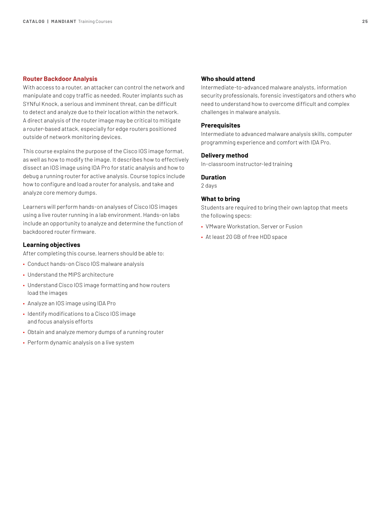#### <span id="page-24-0"></span>**Router Backdoor Analysis**

With access to a router, an attacker can control the network and manipulate and copy traffic as needed. Router implants such as SYNful Knock, a serious and imminent threat, can be difficult to detect and analyze due to their location within the network. A direct analysis of the router image may be critical to mitigate a router-based attack, especially for edge routers positioned outside of network monitoring devices.

This course explains the purpose of the Cisco IOS image format, as well as how to modify the image. It describes how to effectively dissect an IOS image using IDA Pro for static analysis and how to debug a running router for active analysis. Course topics include how to configure and load a router for analysis, and take and analyze core memory dumps.

Learners will perform hands-on analyses of Cisco IOS images using a live router running in a lab environment. Hands-on labs include an opportunity to analyze and determine the function of backdoored router firmware.

#### **Learning objectives**

After completing this course, learners should be able to:

- Conduct hands-on Cisco IOS malware analysis
- Understand the MIPS architecture
- Understand Cisco IOS image formatting and how routers load the images
- Analyze an IOS image using IDA Pro
- Identify modifications to a Cisco IOS image and focus analysis efforts
- Obtain and analyze memory dumps of a running router
- Perform dynamic analysis on a live system

# **Who should attend**

Intermediate-to-advanced malware analysts, information security professionals, forensic investigators and others who need to understand how to overcome difficult and complex challenges in malware analysis.

## **Prerequisites**

Intermediate to advanced malware analysis skills, computer programming experience and comfort with IDA Pro.

### **Delivery method**

In-classroom instructor-led training

#### **Duration**

2 days

#### **What to bring**

- VMware Workstation, Server or Fusion
- At least 20 GB of free HDD space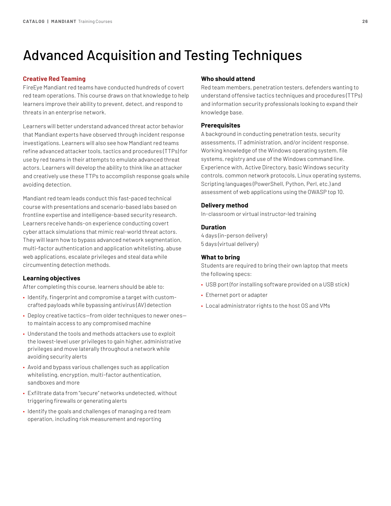# <span id="page-25-0"></span>Advanced Acquisition and Testing Techniques

# **Creative Red Teaming**

FireEye Mandiant red teams have conducted hundreds of covert red team operations. This course draws on that knowledge to help learners improve their ability to prevent, detect, and respond to threats in an enterprise network.

Learners will better understand advanced threat actor behavior that Mandiant experts have observed through incident response investigations. Learners will also see how Mandiant red teams refine advanced attacker tools, tactics and procedures (TTPs) for use by red teams in their attempts to emulate advanced threat actors. Learners will develop the ability to think like an attacker and creatively use these TTPs to accomplish response goals while avoiding detection.

Mandiant red team leads conduct this fast-paced technical course with presentations and scenario-based labs based on frontline expertise and intelligence-based security research. Learners receive hands-on experience conducting covert cyber attack simulations that mimic real-world threat actors. They will learn how to bypass advanced network segmentation, multi-factor authentication and application whitelisting, abuse web applications, escalate privileges and steal data while circumventing detection methods.

# **Learning objectives**

After completing this course, learners should be able to:

- Identify, fingerprint and compromise a target with customcrafted payloads while bypassing antivirus (AV) detection
- Deploy creative tactics—from older techniques to newer ones to maintain access to any compromised machine
- Understand the tools and methods attackers use to exploit the lowest-level user privileges to gain higher, administrative privileges and move laterally throughout a network while avoiding security alerts
- Avoid and bypass various challenges such as application whitelisting, encryption, multi-factor authentication, sandboxes and more
- Exfiltrate data from "secure" networks undetected, without triggering firewalls or generating alerts
- Identify the goals and challenges of managing a red team operation, including risk measurement and reporting

# **Who should attend**

Red team members, penetration testers, defenders wanting to understand offensive tactics techniques and procedures (TTPs) and information security professionals looking to expand their knowledge base.

# **Prerequisites**

A background in conducting penetration tests, security assessments, IT administration, and/or incident response. Working knowledge of the Windows operating system, file systems, registry and use of the Windows command line. Experience with, Active Directory, basic Windows security controls, common network protocols, Linux operating systems, Scripting languages (PowerShell, Python, Perl, etc.) and assessment of web applications using the OWASP top 10.

### **Delivery method**

In-classroom or virtual instructor-led training

### **Duration**

4 days (in-person delivery) 5 days (virtual delivery)

# **What to bring**

- USB port (for installing software provided on a USB stick)
- Ethernet port or adapter
- Local administrator rights to the host OS and VMs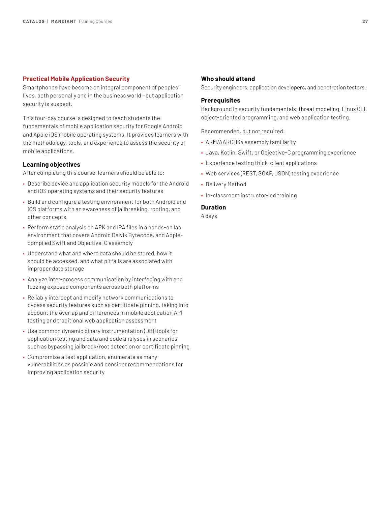#### <span id="page-26-0"></span>**Practical Mobile Application Security**

Smartphones have become an integral component of peoples' lives, both personally and in the business world—but application security is suspect.

This four-day course is designed to teach students the fundamentals of mobile application security for Google Android and Apple iOS mobile operating systems. It provides learners with the methodology, tools, and experience to assess the security of mobile applications.

## **Learning objectives**

After completing this course, learners should be able to:

- Describe device and application security models for the Android and iOS operating systems and their security features
- Build and configure a testing environment for both Android and iOS platforms with an awareness of jailbreaking, rooting, and other concepts
- Perform static analysis on APK and IPA files in a hands-on lab environment that covers Android Dalvik Bytecode, and Applecompiled Swift and Objective-C assembly
- Understand what and where data should be stored, how it should be accessed, and what pitfalls are associated with improper data storage
- Analyze inter-process communication by interfacing with and fuzzing exposed components across both platforms
- Reliably intercept and modify network communications to bypass security features such as certificate pinning, taking into account the overlap and differences in mobile application API testing and traditional web application assessment
- Use common dynamic binary instrumentation (DBI) tools for application testing and data and code analyses in scenarios such as bypassing jailbreak/root detection or certificate pinning
- Compromise a test application, enumerate as many vulnerabilities as possible and consider recommendations for improving application security

#### **Who should attend**

Security engineers, application developers, and penetration testers.

#### **Prerequisites**

Background in security fundamentals, threat modeling, Linux CLI, object-oriented programming, and web application testing.

Recommended, but not required:

- ARM/AARCH64 assembly familiarity
- Java, Kotlin, Swift, or Objective-C programming experience
- Experience testing thick-client applications
- Web services (REST, SOAP, JSON) testing experience
- Delivery Method
- In-classroom instructor-led training

# **Duration**

4 days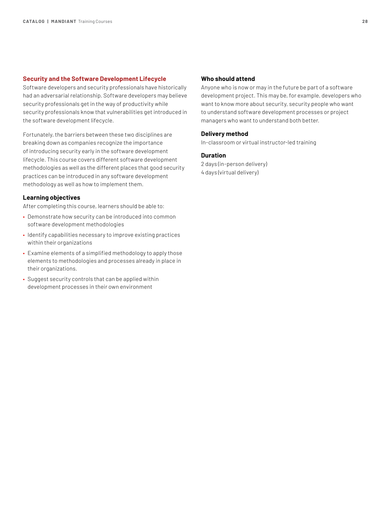# <span id="page-27-0"></span>**Security and the Software Development Lifecycle**

Software developers and security professionals have historically had an adversarial relationship. Software developers may believe security professionals get in the way of productivity while security professionals know that vulnerabilities get introduced in the software development lifecycle.

Fortunately, the barriers between these two disciplines are breaking down as companies recognize the importance of introducing security early in the software development lifecycle. This course covers different software development methodologies as well as the different places that good security practices can be introduced in any software development methodology as well as how to implement them.

# **Learning objectives**

After completing this course, learners should be able to:

- Demonstrate how security can be introduced into common software development methodologies
- Identify capabilities necessary to improve existing practices within their organizations
- Examine elements of a simplified methodology to apply those elements to methodologies and processes already in place in their organizations.
- Suggest security controls that can be applied within development processes in their own environment

#### **Who should attend**

Anyone who is now or may in the future be part of a software development project. This may be, for example, developers who want to know more about security, security people who want to understand software development processes or project managers who want to understand both better.

# **Delivery method**

In-classroom or virtual instructor-led training

# **Duration**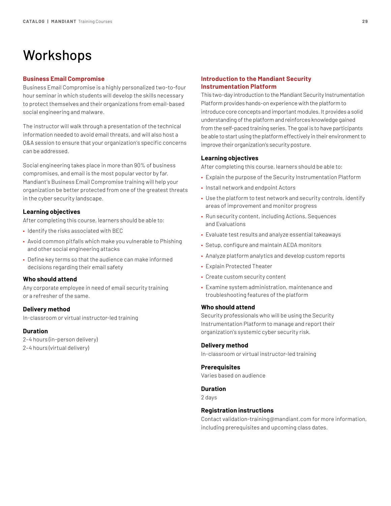# <span id="page-28-0"></span>Workshops

#### **Business Email Compromise**

Business Email Compromise is a highly personalized two-to-four hour seminar in which students will develop the skills necessary to protect themselves and their organizations from email-based social engineering and malware.

The instructor will walk through a presentation of the technical information needed to avoid email threats, and will also host a Q&A session to ensure that your organization's specific concerns can be addressed.

Social engineering takes place in more than 90% of business compromises, and email is the most popular vector by far. Mandiant's Business Email Compromise training will help your organization be better protected from one of the greatest threats in the cyber security landscape.

## **Learning objectives**

After completing this course, learners should be able to:

- Identify the risks associated with BEC
- Avoid common pitfalls which make you vulnerable to Phishing and other social engineering attacks
- Define key terms so that the audience can make informed decisions regarding their email safety

#### **Who should attend**

Any corporate employee in need of email security training or a refresher of the same.

# **Delivery method**

In-classroom or virtual instructor-led training

# **Duration**

2–4 hours (in-person delivery) 2–4 hours (virtual delivery)

# **Introduction to the Mandiant Security Instrumentation Platform**

This two-day introduction to the Mandiant Security Instrumentation Platform provides hands-on experience with the platform to introduce core concepts and important modules. It provides a solid understanding of the platform and reinforces knowledge gained from the self-paced training series. The goal is to have participants be able to start using the platform effectively in their environment to improve their organization's security posture.

### **Learning objectives**

After completing this course, learners should be able to:

- Explain the purpose of the Security Instrumentation Platform
- Install network and endpoint Actors
- Use the platform to test network and security controls, identify areas of improvement and monitor progress
- Run security content, including Actions, Sequences and Evaluations
- Evaluate test results and analyze essential takeaways
- Setup, configure and maintain AEDA monitors
- Analyze platform analytics and develop custom reports
- Explain Protected Theater
- Create custom security content
- Examine system administration, maintenance and troubleshooting features of the platform

#### **Who should attend**

Security professionals who will be using the Security Instrumentation Platform to manage and report their organization's systemic cyber security risk.

#### **Delivery method**

In-classroom or virtual instructor-led training

#### **Prerequisites**

Varies based on audience

#### **Duration**

2 days

#### **Registration instructions**

Contact [validation-training@mandiant.com](mailto:validation-training%40mandiant.com?subject=) for more information, including prerequisites and upcoming class dates.